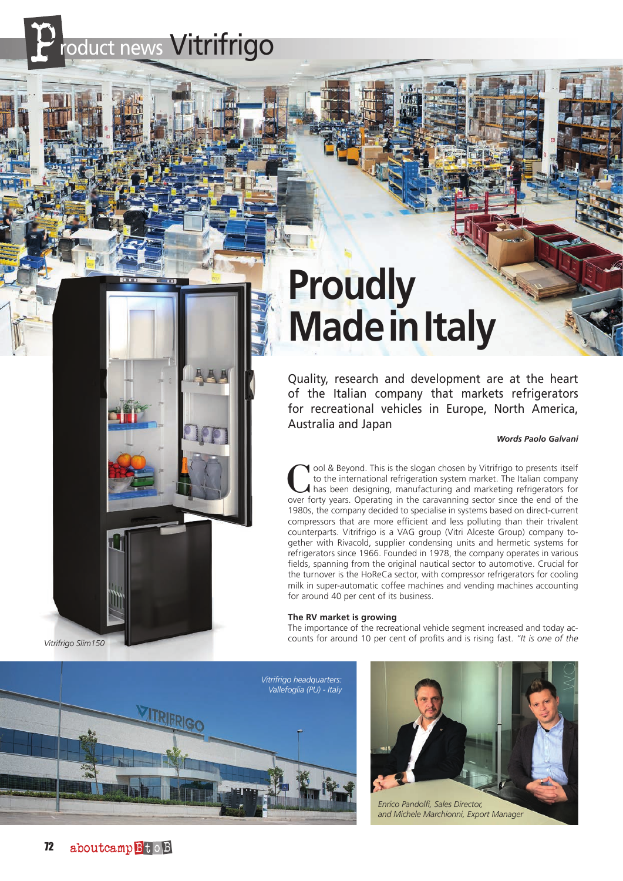roduct news Vitrifrigo

# **Proudly Made in Italy**

Quality, research and development are at the heart of the Italian company that markets refrigerators for recreational vehicles in Europe, North America, Australia and Japan

#### *Words Paolo Galvani*

ool & Beyond. This is the slogan chosen by Vitrifrigo to presents itself to the international refrigeration system market. The Italian company has been designing, manufacturing and marketing refrigerators for over forty years. Operating in the caravanning sector since the end of the 1980s, the company decided to specialise in systems based on direct-current compressors that are more efficient and less polluting than their trivalent counterparts. Vitrifrigo is a VAG group (Vitri Alceste Group) company together with Rivacold, supplier condensing units and hermetic systems for refrigerators since 1966. Founded in 1978, the company operates in various fields, spanning from the original nautical sector to automotive. Crucial for the turnover is the HoReCa sector, with compressor refrigerators for cooling milk in super-automatic coffee machines and vending machines accounting for around 40 per cent of its business.

#### **The RV market is growing**

The importance of the recreational vehicle segment increased and today accounts for around 10 per cent of profits and is rising fast. *"It is one of the* 





*Vitrifrigo Slim150*